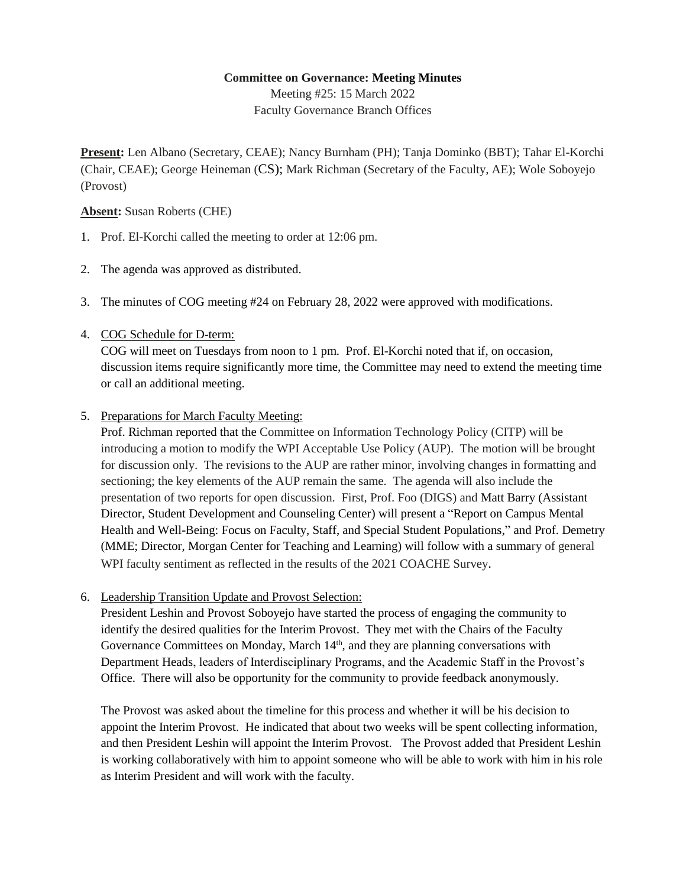## **Committee on Governance: Meeting Minutes**

Meeting #25: 15 March 2022 Faculty Governance Branch Offices

**Present:** Len Albano (Secretary, CEAE); Nancy Burnham (PH); Tanja Dominko (BBT); Tahar El-Korchi (Chair, CEAE); George Heineman (CS); Mark Richman (Secretary of the Faculty, AE); Wole Soboyejo (Provost)

## **Absent:** Susan Roberts (CHE)

- 1. Prof. El-Korchi called the meeting to order at 12:06 pm.
- 2. The agenda was approved as distributed.
- 3. The minutes of COG meeting #24 on February 28, 2022 were approved with modifications.
- 4. COG Schedule for D-term:

COG will meet on Tuesdays from noon to 1 pm. Prof. El-Korchi noted that if, on occasion, discussion items require significantly more time, the Committee may need to extend the meeting time or call an additional meeting.

5. Preparations for March Faculty Meeting:

Prof. Richman reported that the Committee on Information Technology Policy (CITP) will be introducing a motion to modify the WPI Acceptable Use Policy (AUP). The motion will be brought for discussion only. The revisions to the AUP are rather minor, involving changes in formatting and sectioning; the key elements of the AUP remain the same. The agenda will also include the presentation of two reports for open discussion. First, Prof. Foo (DIGS) and Matt Barry (Assistant Director, Student Development and Counseling Center) will present a "Report on Campus Mental Health and Well-Being: Focus on Faculty, Staff, and Special Student Populations," and Prof. Demetry (MME; Director, Morgan Center for Teaching and Learning) will follow with a summary of general WPI faculty sentiment as reflected in the results of the 2021 COACHE Survey.

6. Leadership Transition Update and Provost Selection:

President Leshin and Provost Soboyejo have started the process of engaging the community to identify the desired qualities for the Interim Provost. They met with the Chairs of the Faculty Governance Committees on Monday, March 14<sup>th</sup>, and they are planning conversations with Department Heads, leaders of Interdisciplinary Programs, and the Academic Staff in the Provost's Office. There will also be opportunity for the community to provide feedback anonymously.

The Provost was asked about the timeline for this process and whether it will be his decision to appoint the Interim Provost. He indicated that about two weeks will be spent collecting information, and then President Leshin will appoint the Interim Provost. The Provost added that President Leshin is working collaboratively with him to appoint someone who will be able to work with him in his role as Interim President and will work with the faculty.